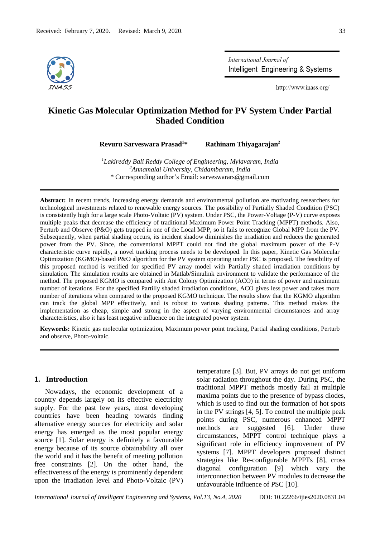

International Journal of Intelligent Engineering & Systems

http://www.inass.org/

# **Kinetic Gas Molecular Optimization Method for PV System Under Partial Shaded Condition**

**Revuru Sarveswara Prasad<sup>1</sup>\* Rathinam Thiyagarajan<sup>2</sup>**

*<sup>1</sup>Lakireddy Bali Reddy College of Engineering, Mylavaram, India <sup>2</sup>Annamalai University, Chidambaram, India* \* Corresponding author's Email: sarveswarars@gmail.com

**Abstract:** In recent trends, increasing energy demands and environmental pollution are motivating researchers for technological investments related to renewable energy sources. The possibility of Partially Shaded Condition (PSC) is consistently high for a large scale Photo-Voltaic (PV) system. Under PSC, the Power-Voltage (P-V) curve exposes multiple peaks that decrease the efficiency of traditional Maximum Power Point Tracking (MPPT) methods. Also, Perturb and Observe (P&O) gets trapped in one of the Local MPP, so it fails to recognize Global MPP from the PV. Subsequently, when partial shading occurs, its incident shadow diminishes the irradiation and reduces the generated power from the PV. Since, the conventional MPPT could not find the global maximum power of the P-V characteristic curve rapidly, a novel tracking process needs to be developed. In this paper, Kinetic Gas Molecular Optimization (KGMO)-based P&O algorithm for the PV system operating under PSC is proposed. The feasibility of this proposed method is verified for specified PV array model with Partially shaded irradiation conditions by simulation. The simulation results are obtained in Matlab/Simulink environment to validate the performance of the method. The proposed KGMO is compared with Ant Colony Optimization (ACO) in terms of power and maximum number of iterations. For the specified Partilly shaded irradiation conditions, ACO gives less power and takes more number of iterations when compared to the proposed KGMO technique. The results show that the KGMO algorithm can track the global MPP effectively, and is robust to various shading patterns. This method makes the implementation as cheap, simple and strong in the aspect of varying environmental circumstances and array characteristics, also it has least negative influence on the integrated power system.

**Keywords:** Kinetic gas molecular optimization, Maximum power point tracking, Partial shading conditions, Perturb and observe, Photo-voltaic.

# **1. Introduction**

Nowadays, the economic development of a country depends largely on its effective electricity supply. For the past few years, most developing countries have been heading towards finding alternative energy sources for electricity and solar energy has emerged as the most popular energy source [1]. Solar energy is definitely a favourable energy because of its source obtainability all over the world and it has the benefit of meeting pollution free constraints [2]. On the other hand, the effectiveness of the energy is prominently dependent upon the irradiation level and Photo-Voltaic (PV) temperature [3]. But, PV arrays do not get uniform solar radiation throughout the day. During PSC, the traditional MPPT methods mostly fail at multiple maxima points due to the presence of bypass diodes, which is used to find out the formation of hot spots in the PV strings [4, 5]. To control the multiple peak points during PSC, numerous enhanced MPPT methods are suggested [6]. Under these circumstances, MPPT control technique plays a significant role in efficiency improvement of PV systems [7]. MPPT developers proposed distinct strategies like Re-configurable MPPTs [8], cross diagonal configuration [9] which vary the interconnection between PV modules to decrease the unfavourable influence of PSC [10].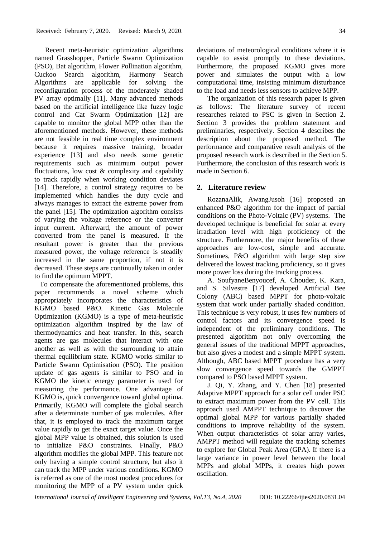Recent meta-heuristic optimization algorithms named Grasshopper, Particle Swarm Optimization (PSO), Bat algorithm, Flower Pollination algorithm, Cuckoo Search algorithm, Harmony Search Algorithms are applicable for solving the reconfiguration process of the moderately shaded PV array optimally [11]. Many advanced methods based on the artificial intelligence like fuzzy logic control and Cat Swarm Optimization [12] are capable to monitor the global MPP other than the aforementioned methods. However, these methods are not feasible in real time complex environment because it requires massive training, broader experience [13] and also needs some genetic requirements such as minimum output power fluctuations, low cost & complexity and capability to track rapidly when working condition deviates [14]. Therefore, a control strategy requires to be implemented which handles the duty cycle and always manages to extract the extreme power from the panel [15]. The optimization algorithm consists of varying the voltage reference or the converter input current. Afterward, the amount of power converted from the panel is measured. If the resultant power is greater than the previous measured power, the voltage reference is steadily increased in the same proportion, if not it is decreased. These steps are continually taken in order to find the optimum MPPT.

 To compensate the aforementioned problems, this paper recommends a novel scheme which appropriately incorporates the characteristics of KGMO based P&O. Kinetic Gas Molecule Optimization (KGMO) is a type of meta-heuristic optimization algorithm inspired by the law of thermodynamics and heat transfer. In this, search agents are gas molecules that interact with one another as well as with the surrounding to attain thermal equilibrium state. KGMO works similar to Particle Swarm Optimisation (PSO). The position update of gas agents is similar to PSO and in KGMO the kinetic energy parameter is used for measuring the performance. One advantage of KGMO is, quick convergence toward global optima. Primarily, KGMO will complete the global search after a determinate number of gas molecules. After that, it is employed to track the maximum target value rapidly to get the exact target value. Once the global MPP value is obtained, this solution is used to initialize P&O constraints. Finally, P&O algorithm modifies the global MPP. This feature not only having a simple control structure, but also it can track the MPP under various conditions. KGMO is referred as one of the most modest procedures for monitoring the MPP of a PV system under quick deviations of meteorological conditions where it is capable to assist promptly to these deviations. Furthermore, the proposed KGMO gives more power and simulates the output with a low computational time, insisting minimum disturbance to the load and needs less sensors to achieve MPP.

The organization of this research paper is given as follows: The literature survey of recent researches related to PSC is given in Section 2. Section 3 provides the problem statement and preliminaries, respectively. Section 4 describes the description about the proposed method. The performance and comparative result analysis of the proposed research work is described in the Section 5. Furthermore, the conclusion of this research work is made in Section 6.

## **2. Literature review**

RozanaAlik, AwangJusoh [16] proposed an enhanced P&O algorithm for the impact of partial conditions on the Photo-Voltaic (PV) systems. The developed technique is beneficial for solar at every irradiation level with high proficiency of the structure. Furthermore, the major benefits of these approaches are low-cost, simple and accurate. Sometimes, P&O algorithm with large step size delivered the lowest tracking proficiency, so it gives more power loss during the tracking process.

A. SoufyaneBenyoucef, A. Chouder, K. Kara, and S. Silvestre [17] developed Artificial Bee Colony (ABC) based MPPT for photo-voltaic system that work under partially shaded condition. This technique is very robust, it uses few numbers of control factors and its convergence speed is independent of the preliminary conditions. The presented algorithm not only overcoming the general issues of the traditional MPPT approaches, but also gives a modest and a simple MPPT system. Although, ABC based MPPT procedure has a very slow convergence speed towards the GMPPT compared to PSO based MPPT system.

J. Qi, Y. Zhang, and Y. Chen [18] presented Adaptive MPPT approach for a solar cell under PSC to extract maximum power from the PV cell. This approach used AMPPT technique to discover the optimal global MPP for various partially shaded conditions to improve reliability of the system. When output characteristics of solar array varies, AMPPT method will regulate the tracking schemes to explore for Global Peak Area (GPA). If there is a large variance in power level between the local MPPs and global MPPs, it creates high power oscillation.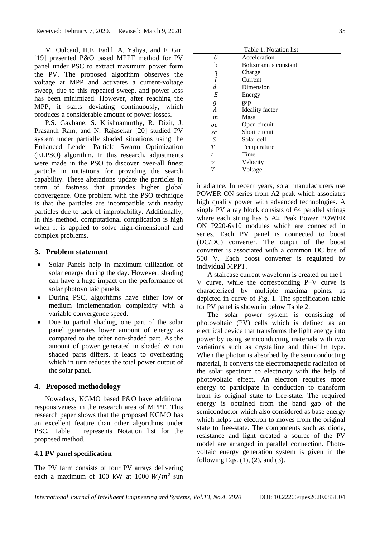M. Oulcaid, H.E. Fadil, A. Yahya, and F. Giri [19] presented P&O based MPPT method for PV panel under PSC to extract maximum power form the PV. The proposed algorithm observes the voltage at MPP and activates a current-voltage sweep, due to this repeated sweep, and power loss has been minimized. However, after reaching the MPP, it starts deviating continuously, which produces a considerable amount of power losses.

P.S. Gavhane, S. Krishnamurthy, R. Dixit, J. Prasanth Ram, and N. Rajasekar [20] studied PV system under partially shaded situations using the Enhanced Leader Particle Swarm Optimization (ELPSO) algorithm. In this research, adjustments were made in the PSO to discover over-all finest particle in mutations for providing the search capability. These alterations update the particles in term of fastness that provides higher global convergence. One problem with the PSO technique is that the particles are incompatible with nearby particles due to lack of improbability. Additionally, in this method, computational complication is high when it is applied to solve high-dimensional and complex problems.

## **3. Problem statement**

- Solar Panels help in maximum utilization of solar energy during the day. However, shading can have a huge impact on the performance of solar photovoltaic panels.
- During PSC, algorithms have either low or medium implementation complexity with a variable convergence speed.
- Due to partial shading, one part of the solar panel generates lower amount of energy as compared to the other non-shaded part. As the amount of power generated in shaded & non shaded parts differs, it leads to overheating which in turn reduces the total power output of the solar panel.

# **4. Proposed methodology**

Nowadays, KGMO based P&O have additional responsiveness in the research area of MPPT. This research paper shows that the proposed KGMO has an excellent feature than other algorithms under PSC. Table 1 represents Notation list for the proposed method.

#### **4.1 PV panel specification**

The PV farm consists of four PV arrays delivering each a maximum of 100 kW at 1000  $W/m^2$  sun

| Table T. Notation list |  |  |
|------------------------|--|--|
| Acceleration           |  |  |
| Boltzmann's constant   |  |  |
| Charge                 |  |  |
| Current                |  |  |
| Dimension              |  |  |
| Energy                 |  |  |
| gap                    |  |  |
| <b>Ideality</b> factor |  |  |
| <b>Mass</b>            |  |  |
| Open circuit           |  |  |
| Short circuit          |  |  |
| Solar cell             |  |  |
| Temperature            |  |  |
| Time                   |  |  |
| Velocity               |  |  |
| Voltage                |  |  |
|                        |  |  |

n die 1. Notation list.<br>Die 1. Notation list werken in die 1. Notation list werken in die 1. Notation von die 1. Notation von die 1. N

irradiance. In recent years, solar manufacturers use POWER ON series from A2 peak which associates high quality power with advanced technologies. A single PV array block consists of 64 parallel strings where each string has 5 A2 Peak Power POWER ON P220-6x10 modules which are connected in series. Each PV panel is connected to boost (DC/DC) converter. The output of the boost converter is associated with a common DC bus of 500 V. Each boost converter is regulated by individual MPPT.

A staircase current waveform is created on the I– V curve, while the corresponding P–V curve is characterized by multiple maxima points, as depicted in curve of Fig. 1. The specification table for PV panel is shown in below Table 2.

The solar power system is consisting of photovoltaic (PV) cells which is defined as an electrical device that transforms the light energy into power by using semiconducting materials with two variations such as crystalline and thin-film type. When the photon is absorbed by the semiconducting material, it converts the electromagnetic radiation of the solar spectrum to electricity with the help of photovoltaic effect. An electron requires more energy to participate in conduction to transform from its original state to free-state. The required energy is obtained from the band gap of the semiconductor which also considered as base energy which helps the electron to moves from the original state to free-state. The components such as diode, resistance and light created a source of the PV model are arranged in parallel connection. Photovoltaic energy generation system is given in the following Eqs.  $(1)$ ,  $(2)$ , and  $(3)$ .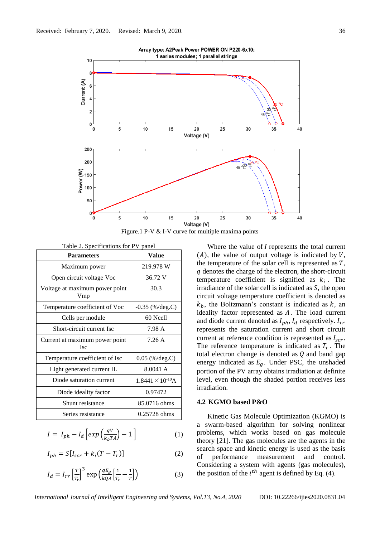

Figure.1 P-V & I-V curve for multiple maxima points

Table 2. Specifications for PV panel

| <b>Parameters</b>                            | Value                      |
|----------------------------------------------|----------------------------|
| Maximum power                                | 219.978 W                  |
| Open circuit voltage Voc                     | 36.72 V                    |
| Voltage at maximum power point<br>Vmp        | 30.3                       |
| Temperature coefficient of Voc               | $-0.35$ (%/deg.C)          |
| Cells per module                             | 60 Ncell                   |
| Short-circuit current Isc                    | 7.98 A                     |
| Current at maximum power point<br><b>Isc</b> | 7.26A                      |
| Temperature coefficient of Isc               | $0.05$ (%/deg.C)           |
| Light generated current IL                   | 8.0041 A                   |
| Diode saturation current                     | $1.8441 \times 10^{-10}$ A |
| Diode ideality factor                        | 0.97472                    |
| Shunt resistance                             | 85.0716 ohms               |
| Series resistance                            | $0.25728$ ohms             |

$$
I = I_{ph} - I_d \left[ exp\left(\frac{qV}{k_b T A}\right) - 1\right]
$$
 (1)

$$
I_{ph} = S[I_{scr} + k_i(T - T_r)]
$$
 (2)

$$
I_d = I_{rr} \left[ \frac{T}{T_r} \right]^3 \exp\left( \frac{qE_g}{kQA} \left[ \frac{1}{T_r} - \frac{1}{T} \right] \right) \tag{3}
$$

Where the value of  $I$  represents the total current  $(A)$ , the value of output voltage is indicated by V, the temperature of the solar cell is represented as  $T$ , denotes the charge of the electron, the short-circuit temperature coefficient is signified as  $k_i$ . The irradiance of the solar cell is indicated as  $S$ , the open circuit voltage temperature coefficient is denoted as  $k<sub>b</sub>$ , the Boltzmann's constant is indicated as  $k$ , an ideality factor represented as  $A$ . The load current and diode current denoted as  $I_{ph}$ ,  $I_d$  respectively.  $I_{rr}$ represents the saturation current and short circuit current at reference condition is represented as  $I_{scr}$ . The reference temperature is indicated as  $T_r$ . The total electron change is denoted as  $Q$  and band gap energy indicated as  $E<sub>g</sub>$ . Under PSC, the unshaded portion of the PV array obtains irradiation at definite level, even though the shaded portion receives less irradiation.

## **4.2 KGMO based P&O**

Kinetic Gas Molecule Optimization (KGMO) is a swarm-based algorithm for solving nonlinear problems, which works based on gas molecule theory [21]. The gas molecules are the agents in the search space and kinetic energy is used as the basis of performance measurement and control. Considering a system with agents (gas molecules), the position of the  $i<sup>th</sup>$  agent is defined by Eq. (4).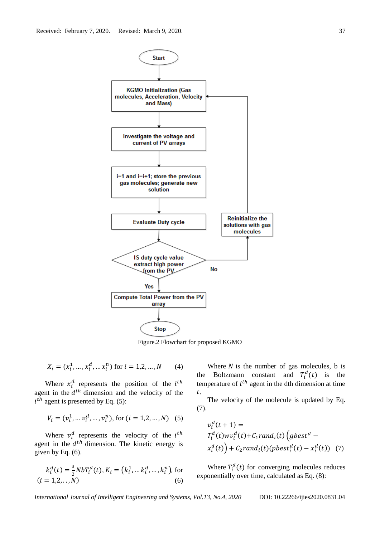

Figure.2 Flowchart for proposed KGMO

$$
X_i = (x_i^1, \dots, x_i^d, \dots x_i^n) \text{ for } i = 1, 2, \dots, N \tag{4}
$$

Where  $x_i^d$  represents the position of the  $i^{th}$ agent in the  $d<sup>th</sup>$  dimension and the velocity of the  $i^{th}$  agent is presented by Eq. (5):

$$
V_i = (v_i^1, \dots v_i^d, \dots, v_i^n), \text{ for } (i = 1, 2, \dots, N) \quad (5)
$$

Where  $v_i^d$  represents the velocity of the  $i^{th}$ agent in the  $d<sup>th</sup>$  dimension. The kinetic energy is given by Eq.  $(6)$ .

$$
k_i^d(t) = \frac{3}{2} N b T_i^d(t), K_i = (k_i^1, \dots, k_i^d, \dots, k_i^n),
$$
 for   
(*i* = 1,2,...,*N*) (6)

Where  $N$  is the number of gas molecules, b is the Boltzmann constant and  $T_i^d(t)$  is the temperature of  $i<sup>th</sup>$  agent in the dth dimension at time .

The velocity of the molecule is updated by Eq. (7).

$$
v_i^d(t+1) =
$$
  
\n
$$
T_i^d(t) w v_i^d(t) + C_1 rand_i(t) (gbest^d - x_i^d(t)) + C_2 rand_i(t) (pbest_i^d(t) - x_i^d(t))
$$
 (7)

Where  $T_i^d(t)$  for converging molecules reduces exponentially over time, calculated as Eq. (8):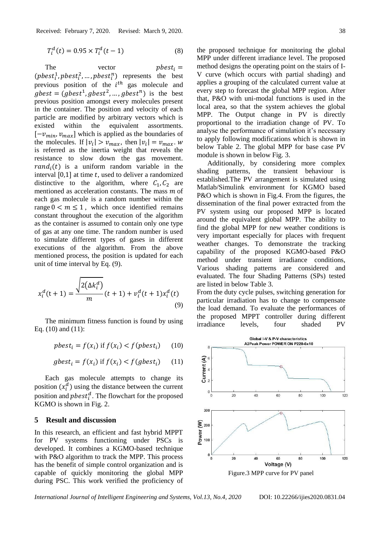$$
T_i^d(t) = 0.95 \times T_i^d(t - 1)
$$
 (8)

The vector  $pbest_i =$  $(pbest_i^1, pbest_i^2, ..., pbest_i^n)$  represents the best previous position of the  $i^{th}$  gas molecule and  $gbest = (gbest<sup>1</sup>, gbest<sup>2</sup>, ..., gbest<sup>n</sup>)$  is the best previous position amongst every molecules present in the container. The position and velocity of each particle are modified by arbitrary vectors which is existed within the equivalent assortments.  $[-v_{min}, v_{max}]$  which is applied as the boundaries of the molecules. If  $|v_i| > v_{max}$ , then  $|v_i| = v_{max}$ . w is referred as the inertia weight that reveals the resistance to slow down the gas movement.  $rand_i(t)$  is a uniform random variable in the interval  $[0,1]$  at time t, used to deliver a randomized distinctive to the algorithm, where  $C_1$ ,  $C_2$  are mentioned as acceleration constants. The mass  *of* each gas molecule is a random number within the range  $0 \le m \le 1$ , which once identified remains constant throughout the execution of the algorithm as the container is assumed to contain only one type of gas at any one time. The random number is used to simulate different types of gases in different executions of the algorithm. From the above mentioned process, the position is updated for each unit of time interval by Eq. (9).

$$
x_i^d(t+1) = \frac{\sqrt{2(\Delta k_i^d)}}{m}(t+1) + v_i^d(t+1)x_i^d(t)
$$
\n(9)

The minimum fitness function is found by using Eq. (10) and (11):

$$
pbest_i = f(x_i) \text{ if } f(x_i) < f(pbest_i) \tag{10}
$$

$$
gbest_i = f(x_i) \text{ if } f(x_i) < f(gbest_i) \tag{11}
$$

Each gas molecule attempts to change its position  $(x_i^d)$  using the distance between the current position and  $pbest_i^d$ . The flowchart for the proposed KGMO is shown in Fig. 2.

#### **5 Result and discussion**

In this research, an efficient and fast hybrid MPPT for PV systems functioning under PSCs is developed. It combines a KGMO-based technique with P&O algorithm to track the MPP. This process has the benefit of simple control organization and is capable of quickly monitoring the global MPP during PSC. This work verified the proficiency of the proposed technique for monitoring the global MPP under different irradiance level. The proposed method designs the operating point on the stairs of I-V curve (which occurs with partial shading) and applies a grouping of the calculated current value at every step to forecast the global MPP region. After that, P&O with uni-modal functions is used in the local area, so that the system achieves the global MPP. The Output change in PV is directly proportional to the irradiation change of PV. To analyse the performance of simulation it's necessary to apply following modifications which is shown in below Table 2. The global MPP for base case PV module is shown in below Fig. 3.

Additionally, by considering more complex shading patterns, the transient behaviour is established.The PV arrangement is simulated using Matlab/Simulink environment for KGMO based P&O which is shown in Fig.4. From the figures, the dissemination of the final power extracted from the PV system using our proposed MPP is located around the equivalent global MPP. The ability to find the global MPP for new weather conditions is very important especially for places with frequent weather changes. To demonstrate the tracking capability of the proposed KGMO-based P&O method under transient irradiance conditions, Various shading patterns are considered and evaluated. The four Shading Patterns (SPs) tested are listed in below Table 3.

From the duty cycle pulses, switching generation for particular irradiation has to change to compensate the load demand. To evaluate the performances of the proposed MPPT controller during different irradiance levels, four shaded PV

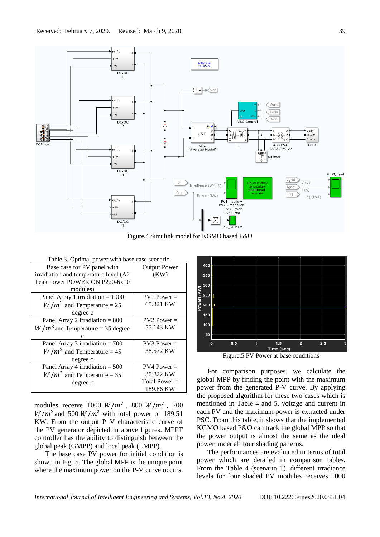

Figure.4 Simulink model for KGMO based P&O

| Table 3. Optimal power with base case scenario |                     |  |
|------------------------------------------------|---------------------|--|
| Base case for PV panel with                    | <b>Output Power</b> |  |
| irradiation and temperature level (A2          | (KW)                |  |
| Peak Power POWER ON P220-6x10                  |                     |  |
| modules)                                       |                     |  |
| Panel Array 1 irradiation $= 1000$             | $PV1 Power =$       |  |
| $W/m^2$ and Temperature = 25                   | 65.321 KW           |  |
| degree c                                       |                     |  |
| Panel Array 2 irradiation $= 800$              | $PV2 Power =$       |  |
| $W/m2$ and Temperature = 35 degree             | 55.143 KW           |  |
|                                                |                     |  |
| Panel Array 3 irradiation $= 700$              | $PV3 Power =$       |  |
| $W/m^2$ and Temperature = 45                   | 38.572 KW           |  |
| degree c                                       |                     |  |
| Panel Array 4 irradiation $= 500$              | $PV4 Power =$       |  |
| $W/m^2$ and Temperature = 35                   | 30.822 KW           |  |
| degree c                                       | Total Power $=$     |  |
|                                                | 189.86 KW           |  |

modules receive 1000  $W/m^2$ , 800  $W/m^2$ , 700  $W/m^2$  and 500  $W/m^2$  with total power of 189.51 KW. From the output P–V characteristic curve of the PV generator depicted in above figures. MPPT controller has the ability to distinguish between the global peak (GMPP) and local peak (LMPP).

The base case PV power for initial condition is shown in Fig. 5. The global MPP is the unique point where the maximum power on the P-V curve occurs.



Figure.5 PV Power at base conditions

For comparison purposes, we calculate the global MPP by finding the point with the maximum power from the generated P-V curve. By applying the proposed algorithm for these two cases which is mentioned in Table 4 and 5, voltage and current in each PV and the maximum power is extracted under PSC. From this table, it shows that the implemented KGMO based P&O can track the global MPP so that the power output is almost the same as the ideal power under all four shading patterns.

The performances are evaluated in terms of total power which are detailed in comparison tables. From the Table 4 (scenario 1), different irradiance levels for four shaded PV modules receives 1000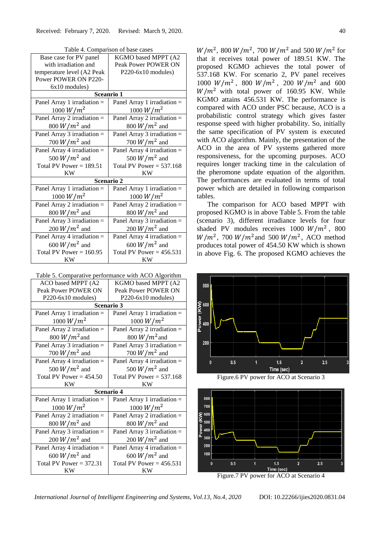| I able 4. Comparison of base cases |                               |  |
|------------------------------------|-------------------------------|--|
| Base case for PV panel             | KGMO based MPPT (A2           |  |
| with irradiation and               | Peak Power POWER ON           |  |
| temperature level (A2 Peak         | $P220-6x10$ modules)          |  |
| Power POWER ON P220-               |                               |  |
| 6x10 modules)                      |                               |  |
| Sceanrio 1                         |                               |  |
| Panel Array 1 irradiation =        | Panel Array 1 irradiation =   |  |
| 1000 $W/m^2$                       | 1000 $W/m^2$                  |  |
| Panel Array 2 irradiation $=$      | Panel Array 2 irradiation $=$ |  |
| 800 $W/m^2$ and                    | 800 $W/m^2$ and               |  |
| Panel Array $3$ irradiation =      | Panel Array $3$ irradiation = |  |
| 700 $W/m^2$ and                    | 700 $W/m^2$ and               |  |
| Panel Array 4 irradiation $=$      | Panel Array 4 irradiation =   |  |
| 500 $W/m^2$ and                    | 500 $W/m^2$ and               |  |
| Total PV Power = $189.51$          | Total PV Power = $537.168$    |  |
| <b>KW</b>                          | KW                            |  |
| Scenario 2                         |                               |  |
| Panel Array 1 irradiation $=$      | Panel Array 1 irradiation $=$ |  |
| 1000 $W/m^2$                       | 1000 $W/m^2$                  |  |
| Panel Array 2 irradiation =        | Panel Array 2 irradiation $=$ |  |
| 800 $W/m^2$ and                    | 800 $W/m^2$ and               |  |
| Panel Array $3$ irradiation =      | Panel Array 3 irradiation =   |  |
| 200 $W/m^2$ and                    | 200 $W/m^2$ and               |  |
| Panel Array 4 irradiation $=$      | Panel Array 4 irradiation $=$ |  |
| 600 $W/m^2$ and                    | 600 $W/m^2$ and               |  |
| Total PV Power = $160.95$          | Total PV Power = $456.531$    |  |
| KW                                 | KW                            |  |

Table 4. Comparison of base cases

| Table 5. Comparative performance with ACO Algorithm |                               |  |
|-----------------------------------------------------|-------------------------------|--|
| ACO based MPPT (A2                                  | KGMO based MPPT (A2           |  |
| Peak Power POWER ON                                 | Peak Power POWER ON           |  |
| $P220-6x10$ modules)                                | $P220-6x10$ modules)          |  |
| Scenario 3                                          |                               |  |
| Panel Array 1 irradiation $=$                       | Panel Array 1 irradiation $=$ |  |
| 1000 $W/m^2$                                        | 1000 $W/m^2$                  |  |
| Panel Array 2 irradiation =                         | Panel Array 2 irradiation =   |  |
| 800 $W/m^2$ and                                     | 800 $W/m^2$ and               |  |
| Panel Array 3 irradiation =                         | Panel Array 3 irradiation =   |  |
| 700 $W/m^2$ and                                     | 700 $W/m^2$ and               |  |
| Panel Array 4 irradiation =                         | Panel Array 4 irradiation =   |  |
| 500 $W/m^2$ and                                     | 500 $W/m^2$ and               |  |
|                                                     |                               |  |
| Total PV Power = $454.50$                           | Total PV Power = $537.168$    |  |
| KW                                                  | KW                            |  |
|                                                     | Scenario 4                    |  |
| Panel Array 1 irradiation =                         | Panel Array 1 irradiation $=$ |  |
| 1000 $W/m^2$                                        | 1000 $W/m^2$                  |  |
| Panel Array 2 irradiation =                         | Panel Array 2 irradiation =   |  |
| 800 $W/m^2$ and                                     | 800 $W/m^2$ and               |  |
| Panel Array $3$ irradiation =                       | Panel Array $3$ irradiation = |  |
| 200 $W/m^2$ and                                     | 200 $W/m^2$ and               |  |
| Panel Array 4 irradiation =                         | Panel Array 4 irradiation =   |  |
| 600 $W/m^2$ and                                     | 600 $W/m^2$ and               |  |
| Total PV Power = $372.31$                           | Total PV Power = $456.531$    |  |

 $W/m^2$ , 800  $W/m^2$ , 700  $W/m^2$  and 500  $W/m^2$  for that it receives total power of 189.51 KW. The proposed KGMO achieves the total power of 537.168 KW. For scenario 2, PV panel receives 1000  $W/m^2$ , 800  $W/m^2$ , 200  $W/m^2$  and 600  $W/m^2$  with total power of 160.95 KW. While KGMO attains 456.531 KW. The performance is compared with ACO under PSC because, ACO is a probabilistic control strategy which gives faster response speed with higher probability. So, initially the same specification of PV system is executed with ACO algorithm. Mainly, the presentation of the ACO in the area of PV systems gathered more responsiveness, for the upcoming purposes. ACO requires longer tracking time in the calculation of the pheromone update equation of the algorithm. The performances are evaluated in terms of total power which are detailed in following comparison tables.

The comparison for ACO based MPPT with proposed KGMO is in above Table 5. From the table (scenario 3), different irradiance levels for four shaded PV modules receives  $1000 W/m^2$ , 800  $W/m^2$ , 700  $W/m^2$  and 500  $W/m^2$ , ACO method produces total power of 454.50 KW which is shown in above Fig. 6. The proposed KGMO achieves the





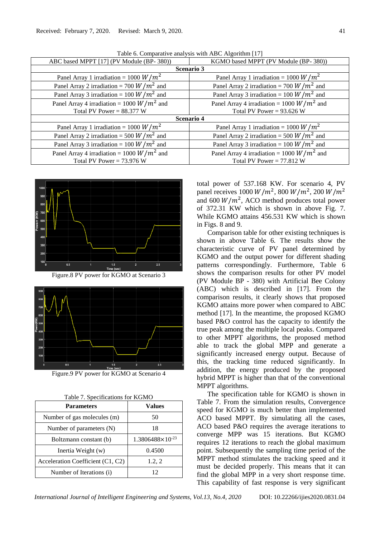| ABC based MPPT [17] (PV Module (BP-380))     | KGMO based MPPT (PV Module (BP-380))         |  |  |
|----------------------------------------------|----------------------------------------------|--|--|
| <b>Scenario 3</b>                            |                                              |  |  |
| Panel Array 1 irradiation = 1000 $W/m^2$     | Panel Array 1 irradiation = 1000 $W/m^2$     |  |  |
| Panel Array 2 irradiation = 700 $W/m^2$ and  | Panel Array 2 irradiation = 700 $W/m^2$ and  |  |  |
| Panel Array 3 irradiation = 100 $W/m^2$ and  | Panel Array 3 irradiation = 100 $W/m^2$ and  |  |  |
| Panel Array 4 irradiation = 1000 $W/m^2$ and | Panel Array 4 irradiation = 1000 $W/m^2$ and |  |  |
| Total PV Power = $88.377$ W                  | Total PV Power = $93.626$ W                  |  |  |
| <b>Scenario 4</b>                            |                                              |  |  |
| Panel Array 1 irradiation = 1000 $W/m^2$     | Panel Array 1 irradiation = 1000 $W/m^2$     |  |  |
| Panel Array 2 irradiation = 500 $W/m^2$ and  | Panel Array 2 irradiation = 500 $W/m^2$ and  |  |  |
| Panel Array 3 irradiation = 100 $W/m^2$ and  | Panel Array 3 irradiation = 100 $W/m^2$ and  |  |  |
| Panel Array 4 irradiation = 1000 $W/m^2$ and | Panel Array 4 irradiation = 1000 $W/m^2$ and |  |  |
| Total PV Power = $73.976$ W                  | Total PV Power = $77.812$ W                  |  |  |

Table 6. Comparative analysis with ABC Algorithm [17]



Figure.8 PV power for KGMO at Scenario 3



Figure.9 PV power for KGMO at Scenario 4

| <b>Parameters</b>                 | Values                    |
|-----------------------------------|---------------------------|
| Number of gas molecules (m)       | 50                        |
| Number of parameters (N)          | 18                        |
| Boltzmann constant (b)            | $1.3806488\times10^{-23}$ |
| Inertia Weight (w)                | 0.4500                    |
| Acceleration Coefficient (C1, C2) | 1.2, 2                    |
| Number of Iterations (i)          | 12                        |

Table 7. Specifications for KGMO

total power of 537.168 KW. For scenario 4, PV panel receives  $1000 W/m^2$ ,  $800 W/m^2$ ,  $200 W/m^2$ and 600  $W/m^2$ , ACO method produces total power of 372.31 KW which is shown in above Fig. 7. While KGMO attains 456.531 KW which is shown in Figs. 8 and 9.

Comparison table for other existing techniques is shown in above Table 6. The results show the characteristic curve of PV panel determined by KGMO and the output power for different shading patterns correspondingly. Furthermore, Table 6 shows the comparison results for other PV model (PV Module BP - 380) with Artificial Bee Colony (ABC) which is described in [17]. From the comparison results, it clearly shows that proposed KGMO attains more power when compared to ABC method [17]. In the meantime, the proposed KGMO based P&O control has the capacity to identify the true peak among the multiple local peaks. Compared to other MPPT algorithms, the proposed method able to track the global MPP and generate a significantly increased energy output. Because of this, the tracking time reduced significantly. In addition, the energy produced by the proposed hybrid MPPT is higher than that of the conventional MPPT algorithms.

The specification table for KGMO is shown in Table 7. From the simulation results, Convergence speed for KGMO is much better than implemented ACO based MPPT. By simulating all the cases, ACO based P&O requires the average iterations to converge MPP was 15 iterations. But KGMO requires 12 iterations to reach the global maximum point. Subsequently the sampling time period of the MPPT method stimulates the tracking speed and it must be decided properly. This means that it can find the global MPP in a very short response time. This capability of fast response is very significant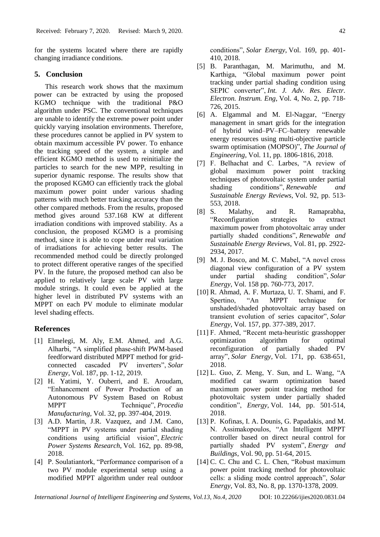for the systems located where there are rapidly changing irradiance conditions.

## **5. Conclusion**

This research work shows that the maximum power can be extracted by using the proposed KGMO technique with the traditional P&O algorithm under PSC. The conventional techniques are unable to identify the extreme power point under quickly varying insolation environments. Therefore, these procedures cannot be applied in PV system to obtain maximum accessible PV power. To enhance the tracking speed of the system, a simple and efficient KGMO method is used to reinitialize the particles to search for the new MPP, resulting in superior dynamic response. The results show that the proposed KGMO can efficiently track the global maximum power point under various shading patterns with much better tracking accuracy than the other compared methods. From the results, proposed method gives around 537.168 KW at different irradiation conditions with improved stability. As a conclusion, the proposed KGMO is a promising method, since it is able to cope under real variation of irradiations for achieving better results. The recommended method could be directly prolonged to protect different operative ranges of the specified PV. In the future, the proposed method can also be applied to relatively large scale PV with large module strings. It could even be applied at the higher level in distributed PV systems with an MPPT on each PV module to eliminate modular level shading effects.

# **References**

- [1] Elmelegi, M. Aly, E.M. Ahmed, and A.G. Alharbi, "A simplified phase-shift PWM-based feedforward distributed MPPT method for gridconnected cascaded PV inverters", *Solar Energy*, Vol. 187, pp. 1-12, 2019.
- [2] H. Yatimi, Y. Ouberri, and E. Aroudam, "Enhancement of Power Production of an Autonomous PV System Based on Robust MPPT Technique", *Procedia Manufacturing*, Vol. 32, pp. 397-404, 2019.
- [3] A.D. Martin, J.R. Vazquez, and J.M. Cano, "MPPT in PV systems under partial shading conditions using artificial vision", *Electric Power Systems Research*, Vol. 162, pp. 89-98, 2018.
- [4] P. Soulatiantork, "Performance comparison of a two PV module experimental setup using a modified MPPT algorithm under real outdoor
- 410, 2018. [5] B. Paranthagan, M. Marimuthu, and M. Karthiga, "Global maximum power point tracking under partial shading condition using SEPIC converter", *Int. J. Adv. Res. Electr. Electron. Instrum. Eng*, Vol. 4, No. 2, pp. 718- 726, 2015.
- [6] A. Elgammal and M. El-Naggar, "Energy management in smart grids for the integration of hybrid wind–PV–FC–battery renewable energy resources using multi-objective particle swarm optimisation (MOPSO)", *The Journal of Engineering*, Vol. 11, pp. 1806-1816, 2018.
- [7] F. Belhachat and C. Larbes, "A review of global maximum power point tracking techniques of photovoltaic system under partial shading conditions", *Renewable and Sustainable Energy Reviews*, Vol. 92, pp. 513- 553, 2018.
- [8] S. Malathy, and R. Ramaprabha, "Reconfiguration strategies to extract maximum power from photovoltaic array under partially shaded conditions", *Renewable and Sustainable Energy Reviews*, Vol. 81, pp. 2922- 2934, 2017.
- [9] M. J. Bosco, and M. C. Mabel, "A novel cross diagonal view configuration of a PV system under partial shading condition", *Solar Energy*, Vol. 158 pp. 760-773, 2017.
- [10] R. Ahmad, A. F. Murtaza, U. T. Shami, and F. Spertino, "An MPPT technique for unshaded/shaded photovoltaic array based on transient evolution of series capacitor", *Solar Energy*, Vol. 157, pp. 377-389, 2017.
- [11] F. Ahmed, "Recent meta-heuristic grasshopper optimization algorithm for optimal reconfiguration of partially shaded PV array", *Solar Energy*, Vol. 171, pp. 638-651, 2018.
- [12] L. Guo, Z. Meng, Y. Sun, and L. Wang, "A modified cat swarm optimization based maximum power point tracking method for photovoltaic system under partially shaded condition", *Energy*, Vol. 144, pp. 501-514, 2018.
- [13] P. Kofinas, I. A. Dounis, G. Papadakis, and M. N. Assimakopoulos, "An Intelligent MPPT controller based on direct neural control for partially shaded PV system", *Energy and Buildings*, Vol. 90, pp. 51-64, 2015.
- [14] C. C. Chu and C. L. Chen, "Robust maximum power point tracking method for photovoltaic cells: a sliding mode control approach", *Solar Energy*, Vol. 83, No. 8, pp. 1370-1378, 2009.